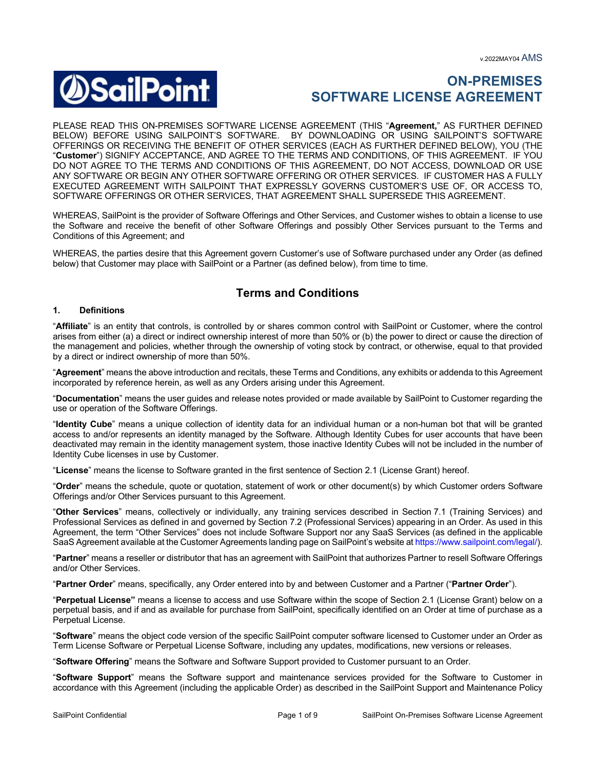

# **ON-PREMISES SOFTWARE LICENSE AGREEMENT**

PLEASE READ THIS ON-PREMISES SOFTWARE LICENSE AGREEMENT (THIS "**Agreement,**" AS FURTHER DEFINED BELOW) BEFORE USING SAILPOINT'S SOFTWARE. BY DOWNLOADING OR USING SAILPOINT'S SOFTWARE OFFERINGS OR RECEIVING THE BENEFIT OF OTHER SERVICES (EACH AS FURTHER DEFINED BELOW), YOU (THE "**Customer**") SIGNIFY ACCEPTANCE, AND AGREE TO THE TERMS AND CONDITIONS, OF THIS AGREEMENT. IF YOU DO NOT AGREE TO THE TERMS AND CONDITIONS OF THIS AGREEMENT, DO NOT ACCESS, DOWNLOAD OR USE ANY SOFTWARE OR BEGIN ANY OTHER SOFTWARE OFFERING OR OTHER SERVICES. IF CUSTOMER HAS A FULLY EXECUTED AGREEMENT WITH SAILPOINT THAT EXPRESSLY GOVERNS CUSTOMER'S USE OF, OR ACCESS TO, SOFTWARE OFFERINGS OR OTHER SERVICES, THAT AGREEMENT SHALL SUPERSEDE THIS AGREEMENT.

WHEREAS, SailPoint is the provider of Software Offerings and Other Services, and Customer wishes to obtain a license to use the Software and receive the benefit of other Software Offerings and possibly Other Services pursuant to the Terms and Conditions of this Agreement; and

WHEREAS, the parties desire that this Agreement govern Customer's use of Software purchased under any Order (as defined below) that Customer may place with SailPoint or a Partner (as defined below), from time to time.

# **Terms and Conditions**

#### **1. Definitions**

"**Affiliate**" is an entity that controls, is controlled by or shares common control with SailPoint or Customer, where the control arises from either (a) a direct or indirect ownership interest of more than 50% or (b) the power to direct or cause the direction of the management and policies, whether through the ownership of voting stock by contract, or otherwise, equal to that provided by a direct or indirect ownership of more than 50%.

"**Agreement**" means the above introduction and recitals, these Terms and Conditions, any exhibits or addenda to this Agreement incorporated by reference herein, as well as any Orders arising under this Agreement.

"**Documentation**" means the user guides and release notes provided or made available by SailPoint to Customer regarding the use or operation of the Software Offerings.

"**Identity Cube**" means a unique collection of identity data for an individual human or a non-human bot that will be granted access to and/or represents an identity managed by the Software. Although Identity Cubes for user accounts that have been deactivated may remain in the identity management system, those inactive Identity Cubes will not be included in the number of Identity Cube licenses in use by Customer.

"**License**" means the license to Software granted in the first sentence of Section 2.1 (License Grant) hereof.

"**Order**" means the schedule, quote or quotation, statement of work or other document(s) by which Customer orders Software Offerings and/or Other Services pursuant to this Agreement.

"**Other Services**" means, collectively or individually, any training services described in Section 7.1 (Training Services) and Professional Services as defined in and governed by Section 7.2 (Professional Services) appearing in an Order. As used in this Agreement, the term "Other Services" does not include Software Support nor any SaaS Services (as defined in the applicable SaaS Agreement available at the Customer Agreements landing page on SailPoint's website at https://www.sailpoint.com/legal/).

"**Partner**" means a reseller or distributor that has an agreement with SailPoint that authorizes Partner to resell Software Offerings and/or Other Services.

"**Partner Order**" means, specifically, any Order entered into by and between Customer and a Partner ("**Partner Order**").

"**Perpetual License"** means a license to access and use Software within the scope of Section 2.1 (License Grant) below on a perpetual basis, and if and as available for purchase from SailPoint, specifically identified on an Order at time of purchase as a Perpetual License.

"**Software**" means the object code version of the specific SailPoint computer software licensed to Customer under an Order as Term License Software or Perpetual License Software, including any updates, modifications, new versions or releases.

"**Software Offering**" means the Software and Software Support provided to Customer pursuant to an Order.

"**Software Support**" means the Software support and maintenance services provided for the Software to Customer in accordance with this Agreement (including the applicable Order) as described in the SailPoint Support and Maintenance Policy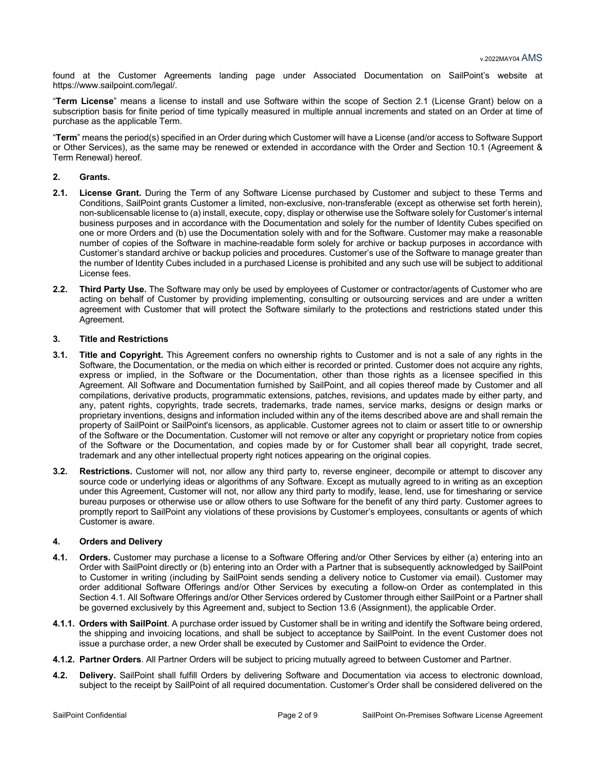found at the Customer Agreements landing page under Associated Documentation on SailPoint's website at https://www.sailpoint.com/legal/.

"**Term License**" means a license to install and use Software within the scope of Section 2.1 (License Grant) below on a subscription basis for finite period of time typically measured in multiple annual increments and stated on an Order at time of purchase as the applicable Term.

"**Term**" means the period(s) specified in an Order during which Customer will have a License (and/or access to Software Support or Other Services), as the same may be renewed or extended in accordance with the Order and Section 10.1 (Agreement & Term Renewal) hereof.

### **2. Grants.**

- **2.1. License Grant.** During the Term of any Software License purchased by Customer and subject to these Terms and Conditions, SailPoint grants Customer a limited, non-exclusive, non-transferable (except as otherwise set forth herein), non-sublicensable license to (a) install, execute, copy, display or otherwise use the Software solely for Customer's internal business purposes and in accordance with the Documentation and solely for the number of Identity Cubes specified on one or more Orders and (b) use the Documentation solely with and for the Software. Customer may make a reasonable number of copies of the Software in machine-readable form solely for archive or backup purposes in accordance with Customer's standard archive or backup policies and procedures. Customer's use of the Software to manage greater than the number of Identity Cubes included in a purchased License is prohibited and any such use will be subject to additional License fees.
- **2.2. Third Party Use.** The Software may only be used by employees of Customer or contractor/agents of Customer who are acting on behalf of Customer by providing implementing, consulting or outsourcing services and are under a written agreement with Customer that will protect the Software similarly to the protections and restrictions stated under this Agreement.

#### **3. Title and Restrictions**

- **3.1. Title and Copyright.** This Agreement confers no ownership rights to Customer and is not a sale of any rights in the Software, the Documentation, or the media on which either is recorded or printed. Customer does not acquire any rights, express or implied, in the Software or the Documentation, other than those rights as a licensee specified in this Agreement. All Software and Documentation furnished by SailPoint, and all copies thereof made by Customer and all compilations, derivative products, programmatic extensions, patches, revisions, and updates made by either party, and any, patent rights, copyrights, trade secrets, trademarks, trade names, service marks, designs or design marks or proprietary inventions, designs and information included within any of the items described above are and shall remain the property of SailPoint or SailPoint's licensors, as applicable. Customer agrees not to claim or assert title to or ownership of the Software or the Documentation. Customer will not remove or alter any copyright or proprietary notice from copies of the Software or the Documentation, and copies made by or for Customer shall bear all copyright, trade secret, trademark and any other intellectual property right notices appearing on the original copies.
- **3.2. Restrictions.** Customer will not, nor allow any third party to, reverse engineer, decompile or attempt to discover any source code or underlying ideas or algorithms of any Software. Except as mutually agreed to in writing as an exception under this Agreement, Customer will not, nor allow any third party to modify, lease, lend, use for timesharing or service bureau purposes or otherwise use or allow others to use Software for the benefit of any third party. Customer agrees to promptly report to SailPoint any violations of these provisions by Customer's employees, consultants or agents of which Customer is aware.

#### **4. Orders and Delivery**

- **4.1. Orders.** Customer may purchase a license to a Software Offering and/or Other Services by either (a) entering into an Order with SailPoint directly or (b) entering into an Order with a Partner that is subsequently acknowledged by SailPoint to Customer in writing (including by SailPoint sends sending a delivery notice to Customer via email). Customer may order additional Software Offerings and/or Other Services by executing a follow-on Order as contemplated in this Section 4.1. All Software Offerings and/or Other Services ordered by Customer through either SailPoint or a Partner shall be governed exclusively by this Agreement and, subject to Section 13.6 (Assignment), the applicable Order.
- **4.1.1. Orders with SailPoint**. A purchase order issued by Customer shall be in writing and identify the Software being ordered, the shipping and invoicing locations, and shall be subject to acceptance by SailPoint. In the event Customer does not issue a purchase order, a new Order shall be executed by Customer and SailPoint to evidence the Order.
- **4.1.2. Partner Orders**. All Partner Orders will be subject to pricing mutually agreed to between Customer and Partner.
- **4.2. Delivery.** SailPoint shall fulfill Orders by delivering Software and Documentation via access to electronic download, subject to the receipt by SailPoint of all required documentation. Customer's Order shall be considered delivered on the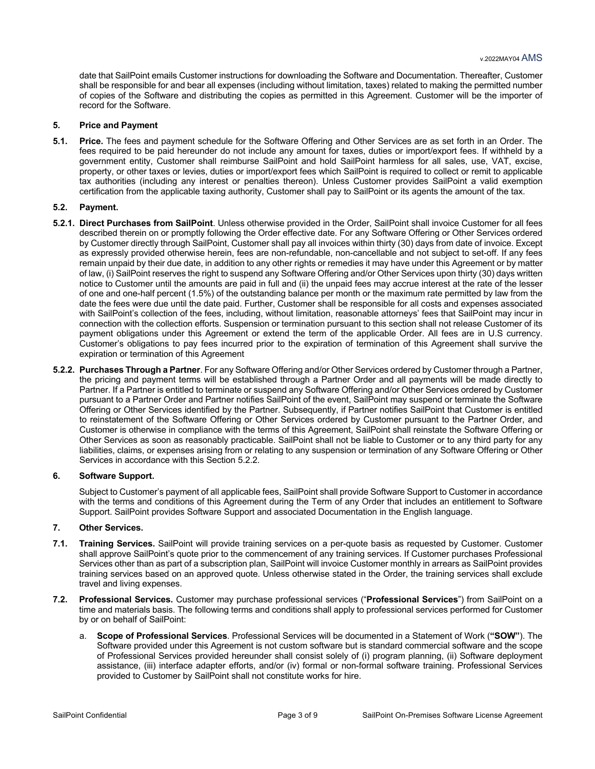date that SailPoint emails Customer instructions for downloading the Software and Documentation. Thereafter, Customer shall be responsible for and bear all expenses (including without limitation, taxes) related to making the permitted number of copies of the Software and distributing the copies as permitted in this Agreement. Customer will be the importer of record for the Software.

#### **5. Price and Payment**

**5.1. Price.** The fees and payment schedule for the Software Offering and Other Services are as set forth in an Order. The fees required to be paid hereunder do not include any amount for taxes, duties or import/export fees. If withheld by a government entity, Customer shall reimburse SailPoint and hold SailPoint harmless for all sales, use, VAT, excise, property, or other taxes or levies, duties or import/export fees which SailPoint is required to collect or remit to applicable tax authorities (including any interest or penalties thereon). Unless Customer provides SailPoint a valid exemption certification from the applicable taxing authority, Customer shall pay to SailPoint or its agents the amount of the tax.

#### **5.2. Payment.**

- **5.2.1. Direct Purchases from SailPoint**. Unless otherwise provided in the Order, SailPoint shall invoice Customer for all fees described therein on or promptly following the Order effective date. For any Software Offering or Other Services ordered by Customer directly through SailPoint, Customer shall pay all invoices within thirty (30) days from date of invoice. Except as expressly provided otherwise herein, fees are non-refundable, non-cancellable and not subject to set-off. If any fees remain unpaid by their due date, in addition to any other rights or remedies it may have under this Agreement or by matter of law, (i) SailPoint reserves the right to suspend any Software Offering and/or Other Services upon thirty (30) days written notice to Customer until the amounts are paid in full and (ii) the unpaid fees may accrue interest at the rate of the lesser of one and one-half percent (1.5%) of the outstanding balance per month or the maximum rate permitted by law from the date the fees were due until the date paid. Further, Customer shall be responsible for all costs and expenses associated with SailPoint's collection of the fees, including, without limitation, reasonable attorneys' fees that SailPoint may incur in connection with the collection efforts. Suspension or termination pursuant to this section shall not release Customer of its payment obligations under this Agreement or extend the term of the applicable Order. All fees are in U.S currency. Customer's obligations to pay fees incurred prior to the expiration of termination of this Agreement shall survive the expiration or termination of this Agreement
- **5.2.2. Purchases Through a Partner**. For any Software Offering and/or Other Services ordered by Customer through a Partner, the pricing and payment terms will be established through a Partner Order and all payments will be made directly to Partner. If a Partner is entitled to terminate or suspend any Software Offering and/or Other Services ordered by Customer pursuant to a Partner Order and Partner notifies SailPoint of the event, SailPoint may suspend or terminate the Software Offering or Other Services identified by the Partner. Subsequently, if Partner notifies SailPoint that Customer is entitled to reinstatement of the Software Offering or Other Services ordered by Customer pursuant to the Partner Order, and Customer is otherwise in compliance with the terms of this Agreement, SailPoint shall reinstate the Software Offering or Other Services as soon as reasonably practicable. SailPoint shall not be liable to Customer or to any third party for any liabilities, claims, or expenses arising from or relating to any suspension or termination of any Software Offering or Other Services in accordance with this Section 5.2.2.

#### **6. Software Support.**

Subject to Customer's payment of all applicable fees, SailPoint shall provide Software Support to Customer in accordance with the terms and conditions of this Agreement during the Term of any Order that includes an entitlement to Software Support. SailPoint provides Software Support and associated Documentation in the English language.

### **7. Other Services.**

- **7.1. Training Services.** SailPoint will provide training services on a per-quote basis as requested by Customer. Customer shall approve SailPoint's quote prior to the commencement of any training services. If Customer purchases Professional Services other than as part of a subscription plan, SailPoint will invoice Customer monthly in arrears as SailPoint provides training services based on an approved quote. Unless otherwise stated in the Order, the training services shall exclude travel and living expenses.
- **7.2. Professional Services.** Customer may purchase professional services ("**Professional Services**") from SailPoint on a time and materials basis. The following terms and conditions shall apply to professional services performed for Customer by or on behalf of SailPoint:
	- a. **Scope of Professional Services**. Professional Services will be documented in a Statement of Work (**"SOW"**). The Software provided under this Agreement is not custom software but is standard commercial software and the scope of Professional Services provided hereunder shall consist solely of (i) program planning, (ii) Software deployment assistance, (iii) interface adapter efforts, and/or (iv) formal or non-formal software training. Professional Services provided to Customer by SailPoint shall not constitute works for hire.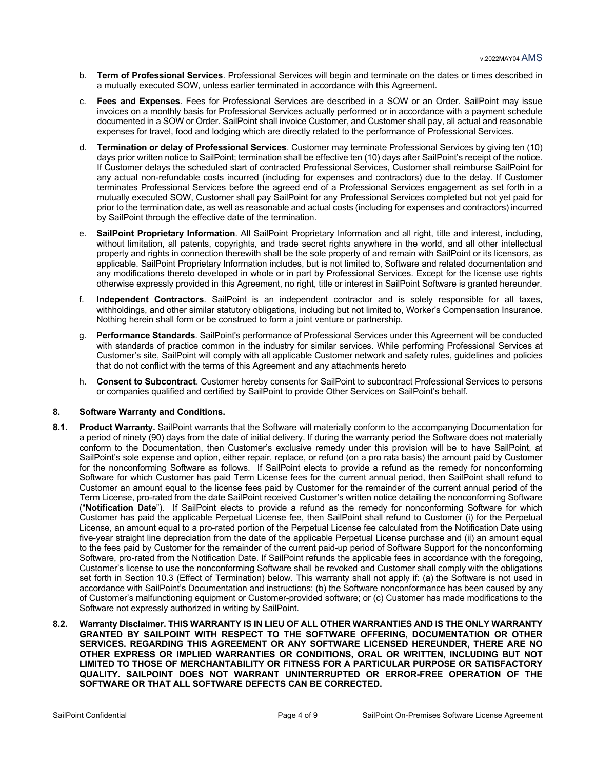- b. **Term of Professional Services**. Professional Services will begin and terminate on the dates or times described in a mutually executed SOW, unless earlier terminated in accordance with this Agreement.
- c. **Fees and Expenses**. Fees for Professional Services are described in a SOW or an Order. SailPoint may issue invoices on a monthly basis for Professional Services actually performed or in accordance with a payment schedule documented in a SOW or Order. SailPoint shall invoice Customer, and Customer shall pay, all actual and reasonable expenses for travel, food and lodging which are directly related to the performance of Professional Services.
- d. **Termination or delay of Professional Services**. Customer may terminate Professional Services by giving ten (10) days prior written notice to SailPoint; termination shall be effective ten (10) days after SailPoint's receipt of the notice. If Customer delays the scheduled start of contracted Professional Services, Customer shall reimburse SailPoint for any actual non-refundable costs incurred (including for expenses and contractors) due to the delay. If Customer terminates Professional Services before the agreed end of a Professional Services engagement as set forth in a mutually executed SOW, Customer shall pay SailPoint for any Professional Services completed but not yet paid for prior to the termination date, as well as reasonable and actual costs (including for expenses and contractors) incurred by SailPoint through the effective date of the termination.
- e. **SailPoint Proprietary Information**. All SailPoint Proprietary Information and all right, title and interest, including, without limitation, all patents, copyrights, and trade secret rights anywhere in the world, and all other intellectual property and rights in connection therewith shall be the sole property of and remain with SailPoint or its licensors, as applicable. SailPoint Proprietary Information includes, but is not limited to, Software and related documentation and any modifications thereto developed in whole or in part by Professional Services. Except for the license use rights otherwise expressly provided in this Agreement, no right, title or interest in SailPoint Software is granted hereunder.
- f. **Independent Contractors**. SailPoint is an independent contractor and is solely responsible for all taxes, withholdings, and other similar statutory obligations, including but not limited to, Worker's Compensation Insurance. Nothing herein shall form or be construed to form a joint venture or partnership.
- g. **Performance Standards**. SailPoint's performance of Professional Services under this Agreement will be conducted with standards of practice common in the industry for similar services. While performing Professional Services at Customer's site, SailPoint will comply with all applicable Customer network and safety rules, guidelines and policies that do not conflict with the terms of this Agreement and any attachments hereto
- h. **Consent to Subcontract**. Customer hereby consents for SailPoint to subcontract Professional Services to persons or companies qualified and certified by SailPoint to provide Other Services on SailPoint's behalf.

#### **8. Software Warranty and Conditions.**

- **8.1. Product Warranty.** SailPoint warrants that the Software will materially conform to the accompanying Documentation for a period of ninety (90) days from the date of initial delivery. If during the warranty period the Software does not materially conform to the Documentation, then Customer's exclusive remedy under this provision will be to have SailPoint, at SailPoint's sole expense and option, either repair, replace, or refund (on a pro rata basis) the amount paid by Customer for the nonconforming Software as follows. If SailPoint elects to provide a refund as the remedy for nonconforming Software for which Customer has paid Term License fees for the current annual period, then SailPoint shall refund to Customer an amount equal to the license fees paid by Customer for the remainder of the current annual period of the Term License, pro-rated from the date SailPoint received Customer's written notice detailing the nonconforming Software ("**Notification Date**"). If SailPoint elects to provide a refund as the remedy for nonconforming Software for which Customer has paid the applicable Perpetual License fee, then SailPoint shall refund to Customer (i) for the Perpetual License, an amount equal to a pro-rated portion of the Perpetual License fee calculated from the Notification Date using five-year straight line depreciation from the date of the applicable Perpetual License purchase and (ii) an amount equal to the fees paid by Customer for the remainder of the current paid-up period of Software Support for the nonconforming Software, pro-rated from the Notification Date. If SailPoint refunds the applicable fees in accordance with the foregoing, Customer's license to use the nonconforming Software shall be revoked and Customer shall comply with the obligations set forth in Section 10.3 (Effect of Termination) below. This warranty shall not apply if: (a) the Software is not used in accordance with SailPoint's Documentation and instructions; (b) the Software nonconformance has been caused by any of Customer's malfunctioning equipment or Customer-provided software; or (c) Customer has made modifications to the Software not expressly authorized in writing by SailPoint.
- **8.2. Warranty Disclaimer. THIS WARRANTY IS IN LIEU OF ALL OTHER WARRANTIES AND IS THE ONLY WARRANTY GRANTED BY SAILPOINT WITH RESPECT TO THE SOFTWARE OFFERING, DOCUMENTATION OR OTHER SERVICES. REGARDING THIS AGREEMENT OR ANY SOFTWARE LICENSED HEREUNDER, THERE ARE NO OTHER EXPRESS OR IMPLIED WARRANTIES OR CONDITIONS, ORAL OR WRITTEN, INCLUDING BUT NOT LIMITED TO THOSE OF MERCHANTABILITY OR FITNESS FOR A PARTICULAR PURPOSE OR SATISFACTORY QUALITY. SAILPOINT DOES NOT WARRANT UNINTERRUPTED OR ERROR-FREE OPERATION OF THE SOFTWARE OR THAT ALL SOFTWARE DEFECTS CAN BE CORRECTED.**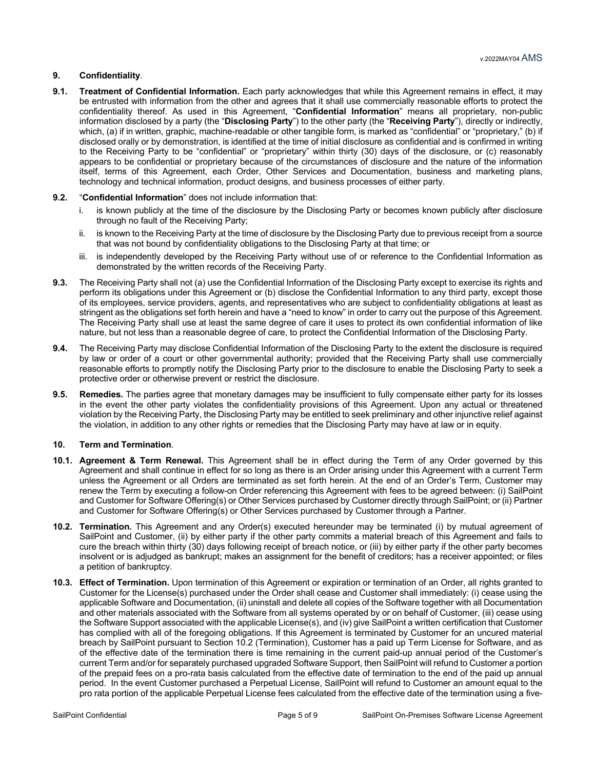# **9. Confidentiality**.

**9.1. Treatment of Confidential Information.** Each party acknowledges that while this Agreement remains in effect, it may be entrusted with information from the other and agrees that it shall use commercially reasonable efforts to protect the confidentiality thereof. As used in this Agreement, "**Confidential Information**" means all proprietary, non-public information disclosed by a party (the "**Disclosing Party**") to the other party (the "**Receiving Party**"), directly or indirectly, which, (a) if in written, graphic, machine-readable or other tangible form, is marked as "confidential" or "proprietary," (b) if disclosed orally or by demonstration, is identified at the time of initial disclosure as confidential and is confirmed in writing to the Receiving Party to be "confidential" or "proprietary" within thirty (30) days of the disclosure, or (c) reasonably appears to be confidential or proprietary because of the circumstances of disclosure and the nature of the information itself, terms of this Agreement, each Order, Other Services and Documentation, business and marketing plans, technology and technical information, product designs, and business processes of either party.

# **9.2.** "**Confidential Information**" does not include information that:

- is known publicly at the time of the disclosure by the Disclosing Party or becomes known publicly after disclosure through no fault of the Receiving Party;
- ii. is known to the Receiving Party at the time of disclosure by the Disclosing Party due to previous receipt from a source that was not bound by confidentiality obligations to the Disclosing Party at that time; or
- iii. is independently developed by the Receiving Party without use of or reference to the Confidential Information as demonstrated by the written records of the Receiving Party.
- **9.3.** The Receiving Party shall not (a) use the Confidential Information of the Disclosing Party except to exercise its rights and perform its obligations under this Agreement or (b) disclose the Confidential Information to any third party, except those of its employees, service providers, agents, and representatives who are subject to confidentiality obligations at least as stringent as the obligations set forth herein and have a "need to know" in order to carry out the purpose of this Agreement. The Receiving Party shall use at least the same degree of care it uses to protect its own confidential information of like nature, but not less than a reasonable degree of care, to protect the Confidential Information of the Disclosing Party.
- **9.4.** The Receiving Party may disclose Confidential Information of the Disclosing Party to the extent the disclosure is required by law or order of a court or other governmental authority; provided that the Receiving Party shall use commercially reasonable efforts to promptly notify the Disclosing Party prior to the disclosure to enable the Disclosing Party to seek a protective order or otherwise prevent or restrict the disclosure.
- **9.5. Remedies.** The parties agree that monetary damages may be insufficient to fully compensate either party for its losses in the event the other party violates the confidentiality provisions of this Agreement. Upon any actual or threatened violation by the Receiving Party, the Disclosing Party may be entitled to seek preliminary and other injunctive relief against the violation, in addition to any other rights or remedies that the Disclosing Party may have at law or in equity.

#### **10. Term and Termination**.

- **10.1. Agreement & Term Renewal.** This Agreement shall be in effect during the Term of any Order governed by this Agreement and shall continue in effect for so long as there is an Order arising under this Agreement with a current Term unless the Agreement or all Orders are terminated as set forth herein. At the end of an Order's Term, Customer may renew the Term by executing a follow-on Order referencing this Agreement with fees to be agreed between: (i) SailPoint and Customer for Software Offering(s) or Other Services purchased by Customer directly through SailPoint; or (ii) Partner and Customer for Software Offering(s) or Other Services purchased by Customer through a Partner.
- **10.2. Termination.** This Agreement and any Order(s) executed hereunder may be terminated (i) by mutual agreement of SailPoint and Customer, (ii) by either party if the other party commits a material breach of this Agreement and fails to cure the breach within thirty (30) days following receipt of breach notice, or (iii) by either party if the other party becomes insolvent or is adjudged as bankrupt; makes an assignment for the benefit of creditors; has a receiver appointed; or files a petition of bankruptcy.
- **10.3. Effect of Termination.** Upon termination of this Agreement or expiration or termination of an Order, all rights granted to Customer for the License(s) purchased under the Order shall cease and Customer shall immediately: (i) cease using the applicable Software and Documentation, (ii) uninstall and delete all copies of the Software together with all Documentation and other materials associated with the Software from all systems operated by or on behalf of Customer, (iii) cease using the Software Support associated with the applicable License(s), and (iv) give SailPoint a written certification that Customer has complied with all of the foregoing obligations. If this Agreement is terminated by Customer for an uncured material breach by SailPoint pursuant to Section 10.2 (Termination), Customer has a paid up Term License for Software, and as of the effective date of the termination there is time remaining in the current paid-up annual period of the Customer's current Term and/or for separately purchased upgraded Software Support, then SailPoint will refund to Customer a portion of the prepaid fees on a pro-rata basis calculated from the effective date of termination to the end of the paid up annual period. In the event Customer purchased a Perpetual License, SailPoint will refund to Customer an amount equal to the pro rata portion of the applicable Perpetual License fees calculated from the effective date of the termination using a five-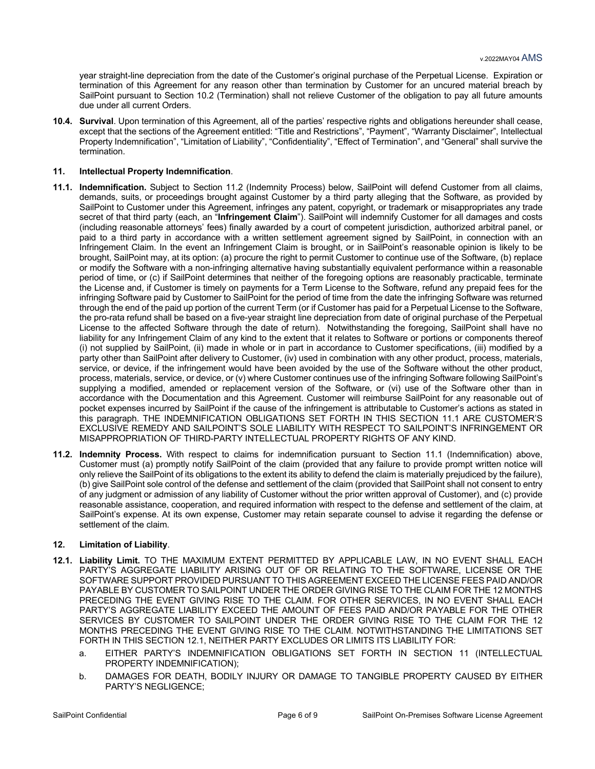year straight-line depreciation from the date of the Customer's original purchase of the Perpetual License. Expiration or termination of this Agreement for any reason other than termination by Customer for an uncured material breach by SailPoint pursuant to Section 10.2 (Termination) shall not relieve Customer of the obligation to pay all future amounts due under all current Orders.

**10.4. Survival**. Upon termination of this Agreement, all of the parties' respective rights and obligations hereunder shall cease, except that the sections of the Agreement entitled: "Title and Restrictions", "Payment", "Warranty Disclaimer", Intellectual Property Indemnification", "Limitation of Liability", "Confidentiality", "Effect of Termination", and "General" shall survive the termination.

## **11. Intellectual Property Indemnification**.

- **11.1. Indemnification.** Subject to Section 11.2 (Indemnity Process) below, SailPoint will defend Customer from all claims, demands, suits, or proceedings brought against Customer by a third party alleging that the Software, as provided by SailPoint to Customer under this Agreement, infringes any patent, copyright, or trademark or misappropriates any trade secret of that third party (each, an "**Infringement Claim**"). SailPoint will indemnify Customer for all damages and costs (including reasonable attorneys' fees) finally awarded by a court of competent jurisdiction, authorized arbitral panel, or paid to a third party in accordance with a written settlement agreement signed by SailPoint, in connection with an Infringement Claim. In the event an Infringement Claim is brought, or in SailPoint's reasonable opinion is likely to be brought, SailPoint may, at its option: (a) procure the right to permit Customer to continue use of the Software, (b) replace or modify the Software with a non-infringing alternative having substantially equivalent performance within a reasonable period of time, or (c) if SailPoint determines that neither of the foregoing options are reasonably practicable, terminate the License and, if Customer is timely on payments for a Term License to the Software, refund any prepaid fees for the infringing Software paid by Customer to SailPoint for the period of time from the date the infringing Software was returned through the end of the paid up portion of the current Term (or if Customer has paid for a Perpetual License to the Software, the pro-rata refund shall be based on a five-year straight line depreciation from date of original purchase of the Perpetual License to the affected Software through the date of return). Notwithstanding the foregoing, SailPoint shall have no liability for any Infringement Claim of any kind to the extent that it relates to Software or portions or components thereof (i) not supplied by SailPoint, (ii) made in whole or in part in accordance to Customer specifications, (iii) modified by a party other than SailPoint after delivery to Customer, (iv) used in combination with any other product, process, materials, service, or device, if the infringement would have been avoided by the use of the Software without the other product, process, materials, service, or device, or (v) where Customer continues use of the infringing Software following SailPoint's supplying a modified, amended or replacement version of the Software, or (vi) use of the Software other than in accordance with the Documentation and this Agreement. Customer will reimburse SailPoint for any reasonable out of pocket expenses incurred by SailPoint if the cause of the infringement is attributable to Customer's actions as stated in this paragraph. THE INDEMNIFICATION OBLIGATIONS SET FORTH IN THIS SECTION 11.1 ARE CUSTOMER'S EXCLUSIVE REMEDY AND SAILPOINT'S SOLE LIABILITY WITH RESPECT TO SAILPOINT'S INFRINGEMENT OR MISAPPROPRIATION OF THIRD-PARTY INTELLECTUAL PROPERTY RIGHTS OF ANY KIND.
- **11.2. Indemnity Process.** With respect to claims for indemnification pursuant to Section 11.1 (Indemnification) above, Customer must (a) promptly notify SailPoint of the claim (provided that any failure to provide prompt written notice will only relieve the SailPoint of its obligations to the extent its ability to defend the claim is materially prejudiced by the failure), (b) give SailPoint sole control of the defense and settlement of the claim (provided that SailPoint shall not consent to entry of any judgment or admission of any liability of Customer without the prior written approval of Customer), and (c) provide reasonable assistance, cooperation, and required information with respect to the defense and settlement of the claim, at SailPoint's expense. At its own expense, Customer may retain separate counsel to advise it regarding the defense or settlement of the claim.

#### **12. Limitation of Liability**.

- **12.1. Liability Limit.** TO THE MAXIMUM EXTENT PERMITTED BY APPLICABLE LAW, IN NO EVENT SHALL EACH PARTY'S AGGREGATE LIABILITY ARISING OUT OF OR RELATING TO THE SOFTWARE, LICENSE OR THE SOFTWARE SUPPORT PROVIDED PURSUANT TO THIS AGREEMENT EXCEED THE LICENSE FEES PAID AND/OR PAYABLE BY CUSTOMER TO SAILPOINT UNDER THE ORDER GIVING RISE TO THE CLAIM FOR THE 12 MONTHS PRECEDING THE EVENT GIVING RISE TO THE CLAIM. FOR OTHER SERVICES, IN NO EVENT SHALL EACH PARTY'S AGGREGATE LIABILITY EXCEED THE AMOUNT OF FEES PAID AND/OR PAYABLE FOR THE OTHER SERVICES BY CUSTOMER TO SAILPOINT UNDER THE ORDER GIVING RISE TO THE CLAIM FOR THE 12 MONTHS PRECEDING THE EVENT GIVING RISE TO THE CLAIM. NOTWITHSTANDING THE LIMITATIONS SET FORTH IN THIS SECTION 12.1, NEITHER PARTY EXCLUDES OR LIMITS ITS LIABILITY FOR:
	- a. EITHER PARTY'S INDEMNIFICATION OBLIGATIONS SET FORTH IN SECTION 11 (INTELLECTUAL PROPERTY INDEMNIFICATION);
	- b. DAMAGES FOR DEATH, BODILY INJURY OR DAMAGE TO TANGIBLE PROPERTY CAUSED BY EITHER PARTY'S NEGLIGENCE;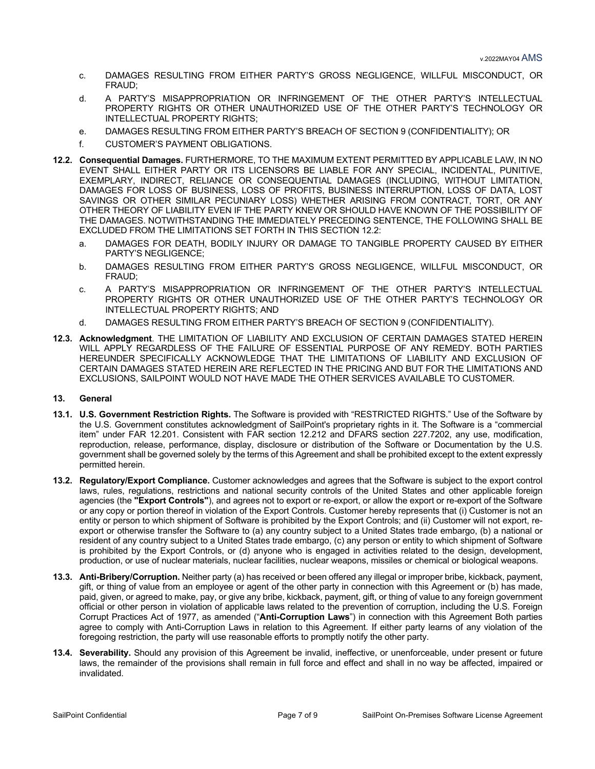- c. DAMAGES RESULTING FROM EITHER PARTY'S GROSS NEGLIGENCE, WILLFUL MISCONDUCT, OR FRAUD;
- d. A PARTY'S MISAPPROPRIATION OR INFRINGEMENT OF THE OTHER PARTY'S INTELLECTUAL PROPERTY RIGHTS OR OTHER UNAUTHORIZED USE OF THE OTHER PARTY'S TECHNOLOGY OR INTELLECTUAL PROPERTY RIGHTS;
- e. DAMAGES RESULTING FROM EITHER PARTY'S BREACH OF SECTION 9 (CONFIDENTIALITY); OR
- f. CUSTOMER'S PAYMENT OBLIGATIONS.
- **12.2. Consequential Damages.** FURTHERMORE, TO THE MAXIMUM EXTENT PERMITTED BY APPLICABLE LAW, IN NO EVENT SHALL EITHER PARTY OR ITS LICENSORS BE LIABLE FOR ANY SPECIAL, INCIDENTAL, PUNITIVE, EXEMPLARY, INDIRECT, RELIANCE OR CONSEQUENTIAL DAMAGES (INCLUDING, WITHOUT LIMITATION, DAMAGES FOR LOSS OF BUSINESS, LOSS OF PROFITS, BUSINESS INTERRUPTION, LOSS OF DATA, LOST SAVINGS OR OTHER SIMILAR PECUNIARY LOSS) WHETHER ARISING FROM CONTRACT, TORT, OR ANY OTHER THEORY OF LIABILITY EVEN IF THE PARTY KNEW OR SHOULD HAVE KNOWN OF THE POSSIBILITY OF THE DAMAGES. NOTWITHSTANDING THE IMMEDIATELY PRECEDING SENTENCE, THE FOLLOWING SHALL BE EXCLUDED FROM THE LIMITATIONS SET FORTH IN THIS SECTION 12.2:
	- a. DAMAGES FOR DEATH, BODILY INJURY OR DAMAGE TO TANGIBLE PROPERTY CAUSED BY EITHER PARTY'S NEGLIGENCE;
	- b. DAMAGES RESULTING FROM EITHER PARTY'S GROSS NEGLIGENCE, WILLFUL MISCONDUCT, OR FRAUD;
	- c. A PARTY'S MISAPPROPRIATION OR INFRINGEMENT OF THE OTHER PARTY'S INTELLECTUAL PROPERTY RIGHTS OR OTHER UNAUTHORIZED USE OF THE OTHER PARTY'S TECHNOLOGY OR INTELLECTUAL PROPERTY RIGHTS; AND
	- d. DAMAGES RESULTING FROM EITHER PARTY'S BREACH OF SECTION 9 (CONFIDENTIALITY).
- **12.3. Acknowledgment**. THE LIMITATION OF LIABILITY AND EXCLUSION OF CERTAIN DAMAGES STATED HEREIN WILL APPLY REGARDLESS OF THE FAILURE OF ESSENTIAL PURPOSE OF ANY REMEDY. BOTH PARTIES HEREUNDER SPECIFICALLY ACKNOWLEDGE THAT THE LIMITATIONS OF LIABILITY AND EXCLUSION OF CERTAIN DAMAGES STATED HEREIN ARE REFLECTED IN THE PRICING AND BUT FOR THE LIMITATIONS AND EXCLUSIONS, SAILPOINT WOULD NOT HAVE MADE THE OTHER SERVICES AVAILABLE TO CUSTOMER.

#### **13. General**

- **13.1. U.S. Government Restriction Rights.** The Software is provided with "RESTRICTED RIGHTS." Use of the Software by the U.S. Government constitutes acknowledgment of SailPoint's proprietary rights in it. The Software is a "commercial item" under FAR 12.201. Consistent with FAR section 12.212 and DFARS section 227.7202, any use, modification, reproduction, release, performance, display, disclosure or distribution of the Software or Documentation by the U.S. government shall be governed solely by the terms of this Agreement and shall be prohibited except to the extent expressly permitted herein.
- **13.2. Regulatory/Export Compliance.** Customer acknowledges and agrees that the Software is subject to the export control laws, rules, regulations, restrictions and national security controls of the United States and other applicable foreign agencies (the **"Export Controls"**), and agrees not to export or re-export, or allow the export or re-export of the Software or any copy or portion thereof in violation of the Export Controls. Customer hereby represents that (i) Customer is not an entity or person to which shipment of Software is prohibited by the Export Controls; and (ii) Customer will not export, reexport or otherwise transfer the Software to (a) any country subject to a United States trade embargo, (b) a national or resident of any country subject to a United States trade embargo, (c) any person or entity to which shipment of Software is prohibited by the Export Controls, or (d) anyone who is engaged in activities related to the design, development, production, or use of nuclear materials, nuclear facilities, nuclear weapons, missiles or chemical or biological weapons.
- **13.3. Anti-Bribery/Corruption.** Neither party (a) has received or been offered any illegal or improper bribe, kickback, payment, gift, or thing of value from an employee or agent of the other party in connection with this Agreement or (b) has made, paid, given, or agreed to make, pay, or give any bribe, kickback, payment, gift, or thing of value to any foreign government official or other person in violation of applicable laws related to the prevention of corruption, including the U.S. Foreign Corrupt Practices Act of 1977, as amended ("**Anti-Corruption Laws**") in connection with this Agreement Both parties agree to comply with Anti-Corruption Laws in relation to this Agreement. If either party learns of any violation of the foregoing restriction, the party will use reasonable efforts to promptly notify the other party.
- **13.4. Severability.** Should any provision of this Agreement be invalid, ineffective, or unenforceable, under present or future laws, the remainder of the provisions shall remain in full force and effect and shall in no way be affected, impaired or invalidated.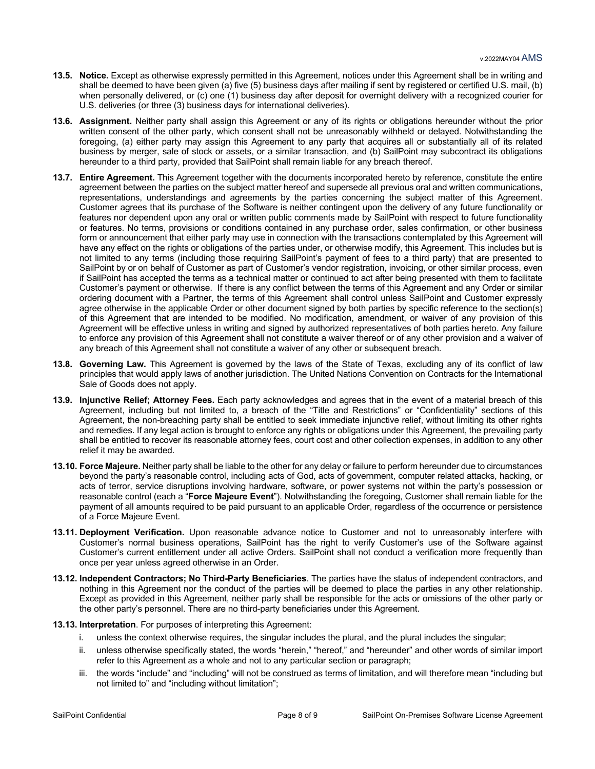- **13.5. Notice.** Except as otherwise expressly permitted in this Agreement, notices under this Agreement shall be in writing and shall be deemed to have been given (a) five (5) business days after mailing if sent by registered or certified U.S. mail, (b) when personally delivered, or (c) one (1) business day after deposit for overnight delivery with a recognized courier for U.S. deliveries (or three (3) business days for international deliveries).
- **13.6. Assignment.** Neither party shall assign this Agreement or any of its rights or obligations hereunder without the prior written consent of the other party, which consent shall not be unreasonably withheld or delayed. Notwithstanding the foregoing, (a) either party may assign this Agreement to any party that acquires all or substantially all of its related business by merger, sale of stock or assets, or a similar transaction, and (b) SailPoint may subcontract its obligations hereunder to a third party, provided that SailPoint shall remain liable for any breach thereof.
- **13.7. Entire Agreement.** This Agreement together with the documents incorporated hereto by reference, constitute the entire agreement between the parties on the subject matter hereof and supersede all previous oral and written communications, representations, understandings and agreements by the parties concerning the subject matter of this Agreement. Customer agrees that its purchase of the Software is neither contingent upon the delivery of any future functionality or features nor dependent upon any oral or written public comments made by SailPoint with respect to future functionality or features. No terms, provisions or conditions contained in any purchase order, sales confirmation, or other business form or announcement that either party may use in connection with the transactions contemplated by this Agreement will have any effect on the rights or obligations of the parties under, or otherwise modify, this Agreement. This includes but is not limited to any terms (including those requiring SailPoint's payment of fees to a third party) that are presented to SailPoint by or on behalf of Customer as part of Customer's vendor registration, invoicing, or other similar process, even if SailPoint has accepted the terms as a technical matter or continued to act after being presented with them to facilitate Customer's payment or otherwise. If there is any conflict between the terms of this Agreement and any Order or similar ordering document with a Partner, the terms of this Agreement shall control unless SailPoint and Customer expressly agree otherwise in the applicable Order or other document signed by both parties by specific reference to the section(s) of this Agreement that are intended to be modified. No modification, amendment, or waiver of any provision of this Agreement will be effective unless in writing and signed by authorized representatives of both parties hereto. Any failure to enforce any provision of this Agreement shall not constitute a waiver thereof or of any other provision and a waiver of any breach of this Agreement shall not constitute a waiver of any other or subsequent breach.
- **13.8. Governing Law.** This Agreement is governed by the laws of the State of Texas, excluding any of its conflict of law principles that would apply laws of another jurisdiction. The United Nations Convention on Contracts for the International Sale of Goods does not apply.
- **13.9. Injunctive Relief; Attorney Fees.** Each party acknowledges and agrees that in the event of a material breach of this Agreement, including but not limited to, a breach of the "Title and Restrictions" or "Confidentiality" sections of this Agreement, the non-breaching party shall be entitled to seek immediate injunctive relief, without limiting its other rights and remedies. If any legal action is brought to enforce any rights or obligations under this Agreement, the prevailing party shall be entitled to recover its reasonable attorney fees, court cost and other collection expenses, in addition to any other relief it may be awarded.
- **13.10. Force Majeure.** Neither party shall be liable to the other for any delay or failure to perform hereunder due to circumstances beyond the party's reasonable control, including acts of God, acts of government, computer related attacks, hacking, or acts of terror, service disruptions involving hardware, software, or power systems not within the party's possession or reasonable control (each a "**Force Majeure Event**"). Notwithstanding the foregoing, Customer shall remain liable for the payment of all amounts required to be paid pursuant to an applicable Order, regardless of the occurrence or persistence of a Force Majeure Event.
- **13.11. Deployment Verification.** Upon reasonable advance notice to Customer and not to unreasonably interfere with Customer's normal business operations, SailPoint has the right to verify Customer's use of the Software against Customer's current entitlement under all active Orders. SailPoint shall not conduct a verification more frequently than once per year unless agreed otherwise in an Order.
- **13.12. Independent Contractors; No Third-Party Beneficiaries**. The parties have the status of independent contractors, and nothing in this Agreement nor the conduct of the parties will be deemed to place the parties in any other relationship. Except as provided in this Agreement, neither party shall be responsible for the acts or omissions of the other party or the other party's personnel. There are no third-party beneficiaries under this Agreement.
- **13.13. Interpretation**. For purposes of interpreting this Agreement:
	- i. unless the context otherwise requires, the singular includes the plural, and the plural includes the singular;
	- ii. unless otherwise specifically stated, the words "herein," "hereof," and "hereunder" and other words of similar import refer to this Agreement as a whole and not to any particular section or paragraph;
	- iii. the words "include" and "including" will not be construed as terms of limitation, and will therefore mean "including but not limited to" and "including without limitation";